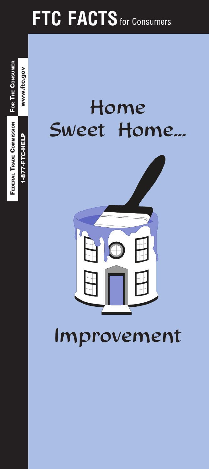# **FTC FACTS** for Consumers

## Home Sweet Home...

**FEDERAL TRADE COMMISSION FOR THE CONSUMER** 

www.ftc.gov

1-877-FTC-HELP



Improvement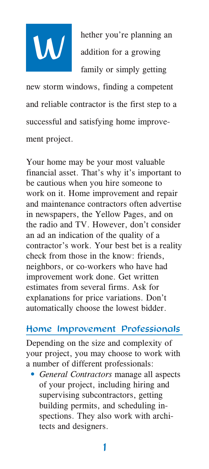

hether you're planning an hether you're planning<br>addition for a growing family or simply getting

new storm windows, finding a competent and reliable contractor is the first step to a successful and satisfying home improvement project.

Your home may be your most valuable financial asset. That's why it's important to be cautious when you hire someone to work on it. Home improvement and repair and maintenance contractors often advertise in newspapers, the Yellow Pages, and on the radio and TV. However, don't consider an ad an indication of the quality of a contractor's work. Your best bet is a reality check from those in the know: friends, neighbors, or co-workers who have had improvement work done. Get written estimates from several firms. Ask for explanations for price variations. Don't automatically choose the lowest bidder.

#### Home Improvement Professionals

Depending on the size and complexity of your project, you may choose to work with a number of different professionals:

• General Contractors manage all aspects of your project, including hiring and supervising subcontractors, getting building permits, and scheduling inspections. They also work with architects and designers.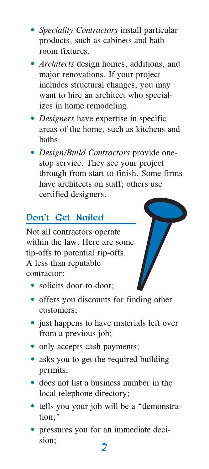- Speciality Contractors install particular products, such as cabinets and bathroom fixtures.
- Architects design homes, additions, and major renovations. If your project includes structural changes, you may want to hire an architect who specializes in home remodeling.
- Designers have expertise in specific areas of the home, such as kitchens and haths
- Design/Build Contractors provide onestop service. They see your project through from start to finish. Some firms have architects on staff; others use certified designers.

## Don't Get Nailed

Not all contractors operate within the law. Here are some tip-offs to potential rip-offs. A less than reputable contractor:



- · solicits door-to-door;
- offers you discounts for finding other customers;
- just happens to have materials left over from a previous job;
- only accepts cash payments;
- asks you to get the required building permits;
- · does not list a business number in the local telephone directory;
- tells you your job will be a "demonstration:"
- · pressures you for an immediate decision: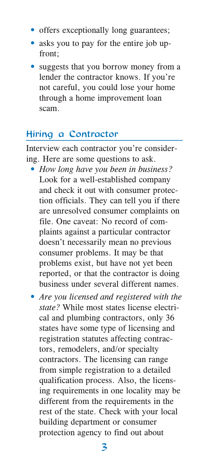- offers exceptionally long guarantees;
- asks you to pay for the entire job upfront:
- suggests that you borrow money from a lender the contractor knows. If you're not careful, you could lose your home through a home improvement loan scam.

#### Hiring a Contractor

Interview each contractor you're considering. Here are some questions to ask.

- How long have you been in business? Look for a well-established company and check it out with consumer protection officials. They can tell you if there are unresolved consumer complaints on file. One caveat: No record of complaints against a particular contractor doesn't necessarily mean no previous consumer problems. It may be that problems exist, but have not yet been reported, or that the contractor is doing business under several different names.
- Are you licensed and registered with the state? While most states license electrical and plumbing contractors, only 36 states have some type of licensing and registration statutes affecting contractors, remodelers, and/or specialty contractors. The licensing can range from simple registration to a detailed qualification process. Also, the licensing requirements in one locality may be different from the requirements in the rest of the state. Check with your local building department or consumer protection agency to find out about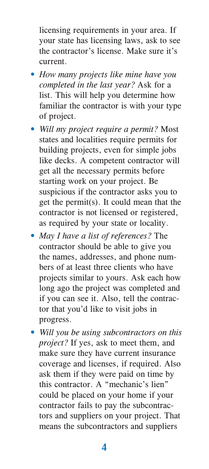licensing requirements in your area. If your state has licensing laws, ask to see the contractor's license. Make sure it's current.

- How many projects like mine have you completed in the last year? Ask for a list. This will help you determine how familiar the contractor is with your type of project.
- Will my project require a permit? Most states and localities require permits for building projects, even for simple jobs like decks. A competent contractor will get all the necessary permits before starting work on your project. Be suspicious if the contractor asks you to get the permit(s). It could mean that the contractor is not licensed or registered, as required by your state or locality.
- May I have a list of references? The contractor should be able to give you the names, addresses, and phone numbers of at least three clients who have projects similar to yours. Ask each how long ago the project was completed and if you can see it. Also, tell the contractor that you'd like to visit jobs in progress.
- Will you be using subcontractors on this *project*? If yes, ask to meet them, and make sure they have current insurance coverage and licenses, if required. Also ask them if they were paid on time by this contractor. A "mechanic's lien" could be placed on your home if your contractor fails to pay the subcontractors and suppliers on your project. That means the subcontractors and suppliers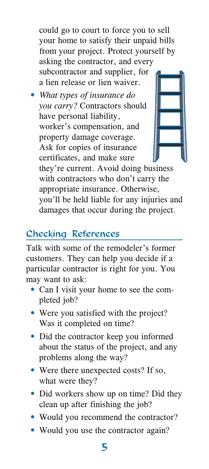could go to court to force you to sell your home to satisfy their unpaid bills from your project. Protect yourself by asking the contractor, and every subcontractor and supplier, for a lien release or lien waiver.

• What types of insurance do you carry? Contractors should have personal liability, worker's compensation, and property damage coverage. Ask for copies of insurance certificates, and make sure



they're current. Avoid doing business with contractors who don't carry the appropriate insurance. Otherwise, you'll be held liable for any injuries and damages that occur during the project.

## **Checking References**

Talk with some of the remodeler's former customers. They can help you decide if a particular contractor is right for you. You may want to ask:

- Can I visit your home to see the completed job?
- Were you satisfied with the project? Was it completed on time?
- Did the contractor keep you informed about the status of the project, and any problems along the way?
- Were there unexpected costs? If so, what were they?
- Did workers show up on time? Did they clean up after finishing the job?
- Would you recommend the contractor?
- Would you use the contractor again?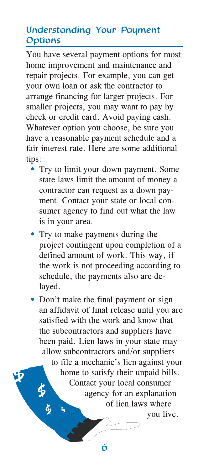## **Understanding Your Payment** Options

You have several payment options for most home improvement and maintenance and repair projects. For example, you can get your own loan or ask the contractor to arrange financing for larger projects. For smaller projects, you may want to pay by check or credit card. Avoid paying cash. Whatever option you choose, be sure you have a reasonable payment schedule and a fair interest rate. Here are some additional tips:

- Try to limit your down payment. Some state laws limit the amount of money a contractor can request as a down payment. Contact your state or local consumer agency to find out what the law is in your area.
- Try to make payments during the project contingent upon completion of a defined amount of work. This way, if the work is not proceeding according to schedule, the payments also are delayed.

• Don't make the final payment or sign an affidavit of final release until you are satisfied with the work and know that the subcontractors and suppliers have been paid. Lien laws in your state may allow subcontractors and/or suppliers to file a mechanic's lien against your home to satisfy their unpaid bills. Contact your local consumer agency for an explanation of lien laws where vou live.

6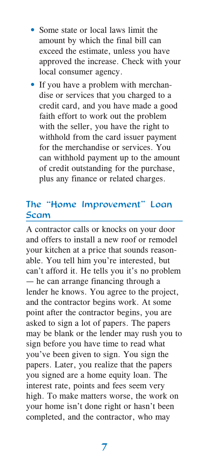- Some state or local laws limit the amount by which the final bill can exceed the estimate, unless you have approved the increase. Check with your local consumer agency.
- If you have a problem with merchandise or services that you charged to a credit card, and you have made a good faith effort to work out the problem with the seller, you have the right to withhold from the card issuer payment for the merchandise or services. You can withhold payment up to the amount of credit outstanding for the purchase, plus any finance or related charges.

#### The "Home Improvement" Loan **Scam**

A contractor calls or knocks on your door and offers to install a new roof or remodel your kitchen at a price that sounds reasonable. You tell him you're interested, but can't afford it. He tells you it's no problem  $-$  he can arrange financing through a lender he knows. You agree to the project, and the contractor begins work. At some point after the contractor begins, you are asked to sign a lot of papers. The papers may be blank or the lender may rush you to sign before you have time to read what you've been given to sign. You sign the papers. Later, you realize that the papers you signed are a home equity loan. The interest rate, points and fees seem very high. To make matters worse, the work on your home isn't done right or hasn't been completed, and the contractor, who may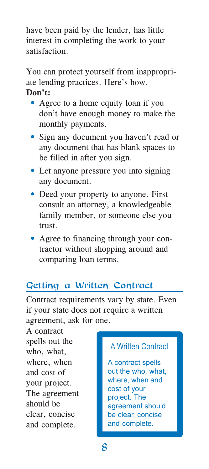have been paid by the lender, has little interest in completing the work to your satisfaction.

You can protect yourself from inappropriate lending practices. Here's how. Don't:

- Agree to a home equity loan if you don't have enough money to make the monthly payments.
- Sign any document you haven't read or any document that has blank spaces to be filled in after you sign.
- Let anyone pressure you into signing any document.
- Deed your property to anyone. First consult an attorney, a knowledgeable family member, or someone else you trust.
- Agree to financing through your contractor without shopping around and comparing loan terms.

## Getting a Written Contract

Contract requirements vary by state. Even if your state does not require a written agreement, ask for one.

A contract spells out the who, what, where, when and cost of your project. The agreement should be clear, concise and complete.

#### A Written Contract

A contract spells out the who, what, where, when and cost of your project. The agreement should be clear, concise and complete.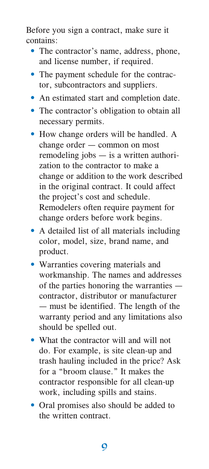Before you sign a contract, make sure it contains:

- The contractor's name, address, phone, and license number, if required.
- The payment schedule for the contractor, subcontractors and suppliers.
- An estimated start and completion date.
- The contractor's obligation to obtain all necessary permits.
- How change orders will be handled. A change order  $-$  common on most remodeling jobs  $-$  is a written authorization to the contractor to make a change or addition to the work described in the original contract. It could affect the project's cost and schedule. Remodelers often require payment for change orders before work begins.
- A detailed list of all materials including color, model, size, brand name, and product.
- Warranties covering materials and workmanship. The names and addresses of the parties honoring the warranties contractor, distributor or manufacturer — must be identified. The length of the warranty period and any limitations also should be spelled out.
- What the contractor will and will not do. For example, is site clean-up and trash hauling included in the price? Ask for a "broom clause." It makes the contractor responsible for all clean-up work, including spills and stains.
- Oral promises also should be added to the written contract.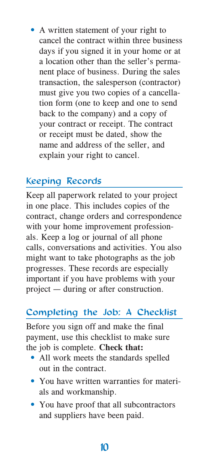• A written statement of your right to cancel the contract within three business days if you signed it in your home or at a location other than the seller's permanent place of business. During the sales transaction, the salesperson (contractor) must give you two copies of a cancellation form (one to keep and one to send back to the company) and a copy of your contract or receipt. The contract or receipt must be dated, show the name and address of the seller, and explain your right to cancel.

### **Keeping Records**

Keep all paperwork related to your project in one place. This includes copies of the contract, change orders and correspondence with your home improvement professionals. Keep a log or journal of all phone calls, conversations and activities. You also might want to take photographs as the job progresses. These records are especially important if you have problems with your project — during or after construction.

## Completing the Job: A Checklist

Before you sign off and make the final payment, use this checklist to make sure the job is complete. Check that:

- All work meets the standards spelled out in the contract.
- You have written warranties for materials and workmanship.
- You have proof that all subcontractors and suppliers have been paid.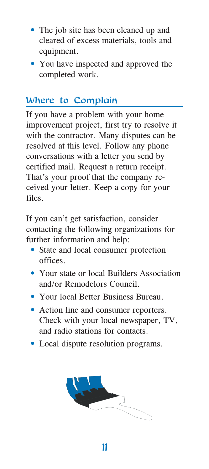- The job site has been cleaned up and cleared of excess materials, tools and equipment.
- You have inspected and approved the completed work.

## Where to Complain

If you have a problem with your home improvement project, first try to resolve it with the contractor. Many disputes can be resolved at this level. Follow any phone conversations with a letter you send by certified mail. Request a return receipt. That's your proof that the company received your letter. Keep a copy for your files.

If you can't get satisfaction, consider contacting the following organizations for further information and help:

- State and local consumer protection offices.
- Your state or local Builders Association and/or Remodelors Council
- Your local Better Business Bureau
- Action line and consumer reporters. Check with your local newspaper, TV, and radio stations for contacts.
- Local dispute resolution programs.

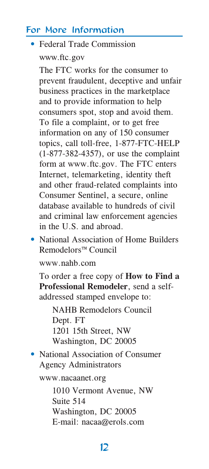#### For More Information

#### • Federal Trade Commission www.ftc.gov

The FTC works for the consumer to prevent fraudulent, deceptive and unfair business practices in the marketplace and to provide information to help consumers spot, stop and avoid them. To file a complaint, or to get free information on any of 150 consumer topics, call toll-free, 1-877-FTC-HELP  $(1-877-382-4357)$ , or use the complaint form at www.ftc.gov. The FTC enters Internet, telemarketing, identity theft and other fraud-related complaints into Consumer Sentinel, a secure, online database available to hundreds of civil and criminal law enforcement agencies in the U.S. and abroad.

• National Association of Home Builders Remodelors<sup>™</sup> Council

www.nahb.com

To order a free copy of How to Find a Professional Remodeler, send a selfaddressed stamped envelope to:

**NAHR Remodelors Council** Dept. FT 1201 15th Street, NW Washington, DC 20005

• National Association of Consumer **Agency Administrators** 

www.nacaanet.org

1010 Vermont Avenue, NW Suite 514 Washington, DC 20005 E-mail: nacaa@erols.com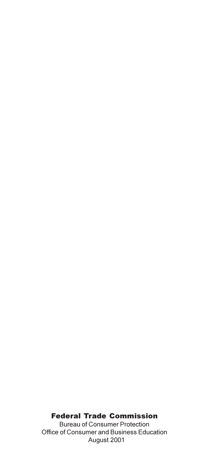#### **Federal Trade Commission**

**Bureau of Consumer Protection** Office of Consumer and Business Education August 2001